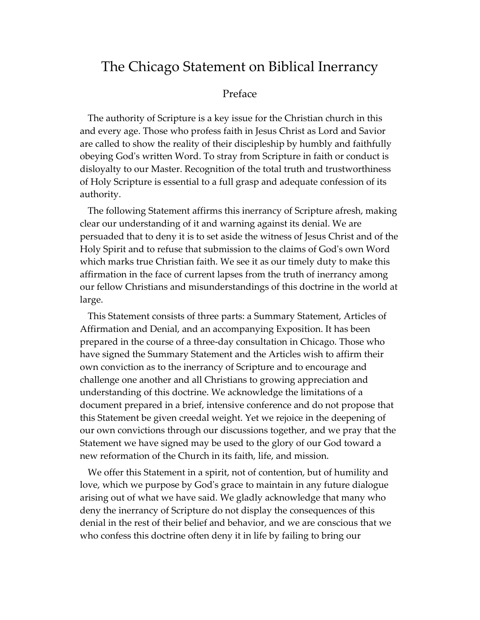# The Chicago Statement on Biblical Inerrancy

# Preface

The authority of Scripture is a key issue for the Christian church in this and every age. Those who profess faith in Jesus Christ as Lord and Savior are called to show the reality of their discipleship by humbly and faithfully obeying Godʹs written Word. To stray from Scripture in faith or conduct is disloyalty to our Master. Recognition of the total truth and trustworthiness of Holy Scripture is essential to a full grasp and adequate confession of its authority.

The following Statement affirms this inerrancy of Scripture afresh, making clear our understanding of it and warning against its denial. We are persuaded that to deny it is to set aside the witness of Jesus Christ and of the Holy Spirit and to refuse that submission to the claims of Godʹs own Word which marks true Christian faith. We see it as our timely duty to make this affirmation in the face of current lapses from the truth of inerrancy among our fellow Christians and misunderstandings of this doctrine in the world at large.

This Statement consists of three parts: a Summary Statement, Articles of Affirmation and Denial, and an accompanying Exposition. It has been prepared in the course of a three‐day consultation in Chicago. Those who have signed the Summary Statement and the Articles wish to affirm their own conviction as to the inerrancy of Scripture and to encourage and challenge one another and all Christians to growing appreciation and understanding of this doctrine. We acknowledge the limitations of a document prepared in a brief, intensive conference and do not propose that this Statement be given creedal weight. Yet we rejoice in the deepening of our own convictions through our discussions together, and we pray that the Statement we have signed may be used to the glory of our God toward a new reformation of the Church in its faith, life, and mission.

We offer this Statement in a spirit, not of contention, but of humility and love, which we purpose by Godʹs grace to maintain in any future dialogue arising out of what we have said. We gladly acknowledge that many who deny the inerrancy of Scripture do not display the consequences of this denial in the rest of their belief and behavior, and we are conscious that we who confess this doctrine often deny it in life by failing to bring our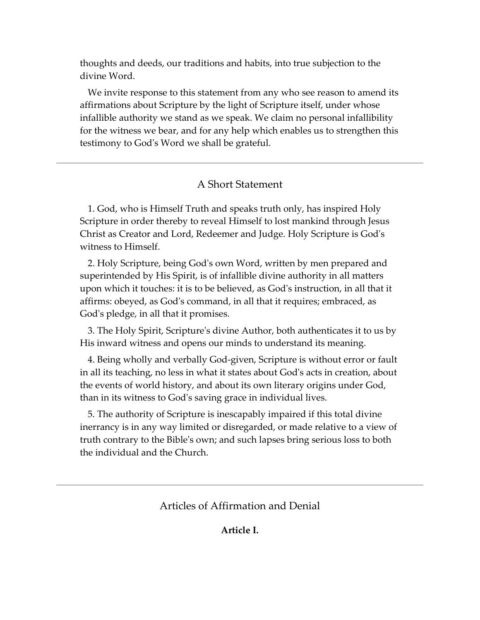thoughts and deeds, our traditions and habits, into true subjection to the divine Word.

We invite response to this statement from any who see reason to amend its affirmations about Scripture by the light of Scripture itself, under whose infallible authority we stand as we speak. We claim no personal infallibility for the witness we bear, and for any help which enables us to strengthen this testimony to Godʹs Word we shall be grateful.

# A Short Statement

1. God, who is Himself Truth and speaks truth only, has inspired Holy Scripture in order thereby to reveal Himself to lost mankind through Jesus Christ as Creator and Lord, Redeemer and Judge. Holy Scripture is Godʹs witness to Himself.

2. Holy Scripture, being Godʹs own Word, written by men prepared and superintended by His Spirit, is of infallible divine authority in all matters upon which it touches: it is to be believed, as Godʹs instruction, in all that it affirms: obeyed, as Godʹs command, in all that it requires; embraced, as God's pledge, in all that it promises.

3. The Holy Spirit, Scriptureʹs divine Author, both authenticates it to us by His inward witness and opens our minds to understand its meaning.

4. Being wholly and verbally God‐given, Scripture is without error or fault in all its teaching, no less in what it states about Godʹs acts in creation, about the events of world history, and about its own literary origins under God, than in its witness to Godʹs saving grace in individual lives.

5. The authority of Scripture is inescapably impaired if this total divine inerrancy is in any way limited or disregarded, or made relative to a view of truth contrary to the Bibleʹs own; and such lapses bring serious loss to both the individual and the Church.

Articles of Affirmation and Denial

**Article I.**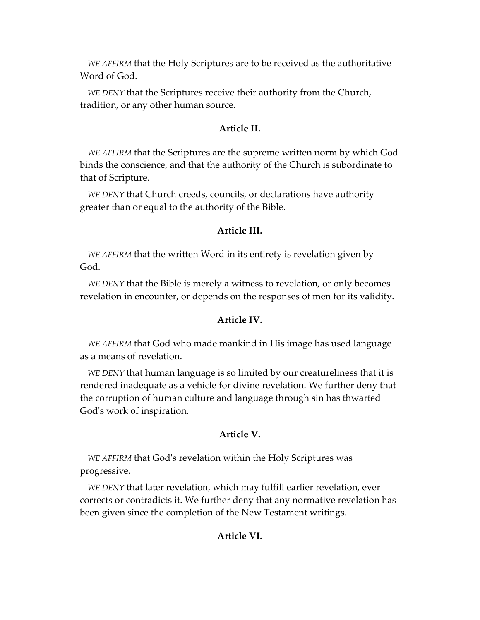*WE AFFIRM* that the Holy Scriptures are to be received as the authoritative Word of God.

*WE DENY* that the Scriptures receive their authority from the Church, tradition, or any other human source.

# **Article II.**

*WE AFFIRM* that the Scriptures are the supreme written norm by which God binds the conscience, and that the authority of the Church is subordinate to that of Scripture.

*WE DENY* that Church creeds, councils, or declarations have authority greater than or equal to the authority of the Bible.

#### **Article III.**

*WE AFFIRM* that the written Word in its entirety is revelation given by God.

*WE DENY* that the Bible is merely a witness to revelation, or only becomes revelation in encounter, or depends on the responses of men for its validity.

## **Article IV.**

*WE AFFIRM* that God who made mankind in His image has used language as a means of revelation.

*WE DENY* that human language is so limited by our creatureliness that it is rendered inadequate as a vehicle for divine revelation. We further deny that the corruption of human culture and language through sin has thwarted God's work of inspiration.

#### **Article V.**

*WE AFFIRM* that Godʹs revelation within the Holy Scriptures was progressive.

*WE DENY* that later revelation, which may fulfill earlier revelation, ever corrects or contradicts it. We further deny that any normative revelation has been given since the completion of the New Testament writings.

#### **Article VI.**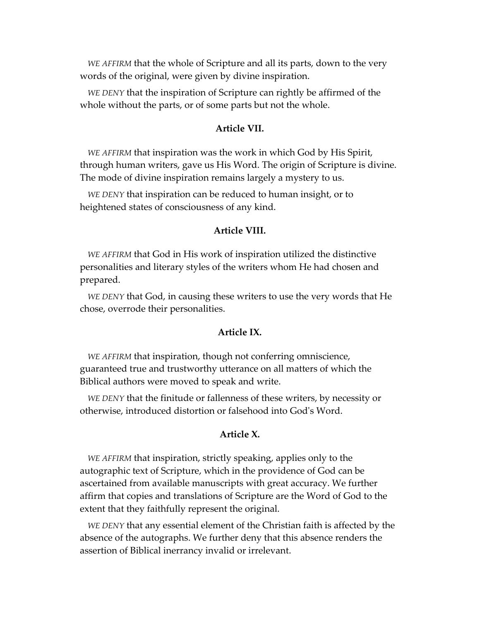*WE AFFIRM* that the whole of Scripture and all its parts, down to the very words of the original, were given by divine inspiration.

*WE DENY* that the inspiration of Scripture can rightly be affirmed of the whole without the parts, or of some parts but not the whole.

# **Article VII.**

*WE AFFIRM* that inspiration was the work in which God by His Spirit, through human writers, gave us His Word. The origin of Scripture is divine. The mode of divine inspiration remains largely a mystery to us.

*WE DENY* that inspiration can be reduced to human insight, or to heightened states of consciousness of any kind.

#### **Article VIII.**

*WE AFFIRM* that God in His work of inspiration utilized the distinctive personalities and literary styles of the writers whom He had chosen and prepared.

*WE DENY* that God, in causing these writers to use the very words that He chose, overrode their personalities.

#### **Article IX.**

*WE AFFIRM* that inspiration, though not conferring omniscience, guaranteed true and trustworthy utterance on all matters of which the Biblical authors were moved to speak and write.

*WE DENY* that the finitude or fallenness of these writers, by necessity or otherwise, introduced distortion or falsehood into Godʹs Word.

#### **Article X.**

*WE AFFIRM* that inspiration, strictly speaking, applies only to the autographic text of Scripture, which in the providence of God can be ascertained from available manuscripts with great accuracy. We further affirm that copies and translations of Scripture are the Word of God to the extent that they faithfully represent the original.

*WE DENY* that any essential element of the Christian faith is affected by the absence of the autographs. We further deny that this absence renders the assertion of Biblical inerrancy invalid or irrelevant.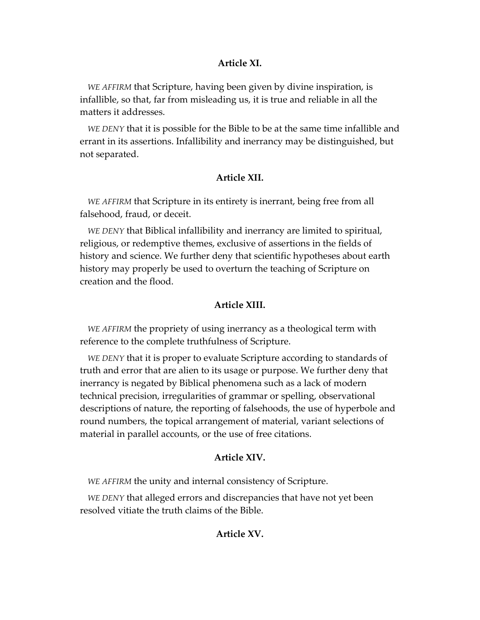## **Article XI.**

*WE AFFIRM* that Scripture, having been given by divine inspiration, is infallible, so that, far from misleading us, it is true and reliable in all the matters it addresses.

*WE DENY* that it is possible for the Bible to be at the same time infallible and errant in its assertions. Infallibility and inerrancy may be distinguished, but not separated.

#### **Article XII.**

*WE AFFIRM* that Scripture in its entirety is inerrant, being free from all falsehood, fraud, or deceit.

*WE DENY* that Biblical infallibility and inerrancy are limited to spiritual, religious, or redemptive themes, exclusive of assertions in the fields of history and science. We further deny that scientific hypotheses about earth history may properly be used to overturn the teaching of Scripture on creation and the flood.

#### **Article XIII.**

*WE AFFIRM* the propriety of using inerrancy as a theological term with reference to the complete truthfulness of Scripture.

*WE DENY* that it is proper to evaluate Scripture according to standards of truth and error that are alien to its usage or purpose. We further deny that inerrancy is negated by Biblical phenomena such as a lack of modern technical precision, irregularities of grammar or spelling, observational descriptions of nature, the reporting of falsehoods, the use of hyperbole and round numbers, the topical arrangement of material, variant selections of material in parallel accounts, or the use of free citations.

#### **Article XIV.**

*WE AFFIRM* the unity and internal consistency of Scripture.

*WE DENY* that alleged errors and discrepancies that have not yet been resolved vitiate the truth claims of the Bible.

#### **Article XV.**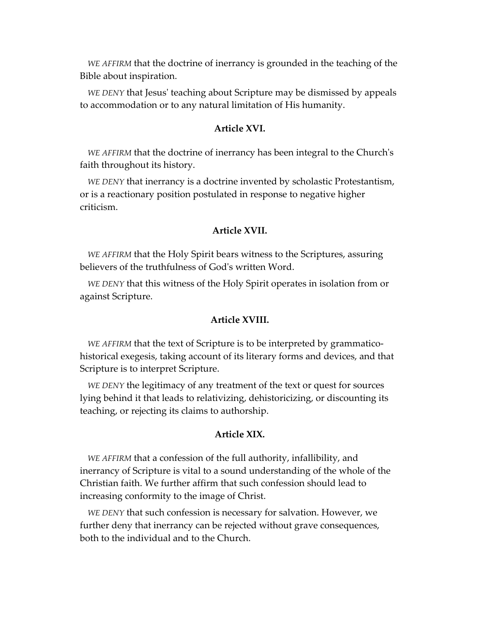*WE AFFIRM* that the doctrine of inerrancy is grounded in the teaching of the Bible about inspiration.

*WE DENY* that Jesusʹ teaching about Scripture may be dismissed by appeals to accommodation or to any natural limitation of His humanity.

# **Article XVI.**

*WE AFFIRM* that the doctrine of inerrancy has been integral to the Churchʹs faith throughout its history.

*WE DENY* that inerrancy is a doctrine invented by scholastic Protestantism, or is a reactionary position postulated in response to negative higher criticism.

### **Article XVII.**

*WE AFFIRM* that the Holy Spirit bears witness to the Scriptures, assuring believers of the truthfulness of Godʹs written Word.

*WE DENY* that this witness of the Holy Spirit operates in isolation from or against Scripture.

#### **Article XVIII.**

*WE AFFIRM* that the text of Scripture is to be interpreted by grammatico‐ historical exegesis, taking account of its literary forms and devices, and that Scripture is to interpret Scripture.

*WE DENY* the legitimacy of any treatment of the text or quest for sources lying behind it that leads to relativizing, dehistoricizing, or discounting its teaching, or rejecting its claims to authorship.

### **Article XIX.**

*WE AFFIRM* that a confession of the full authority, infallibility, and inerrancy of Scripture is vital to a sound understanding of the whole of the Christian faith. We further affirm that such confession should lead to increasing conformity to the image of Christ.

*WE DENY* that such confession is necessary for salvation. However, we further deny that inerrancy can be rejected without grave consequences, both to the individual and to the Church.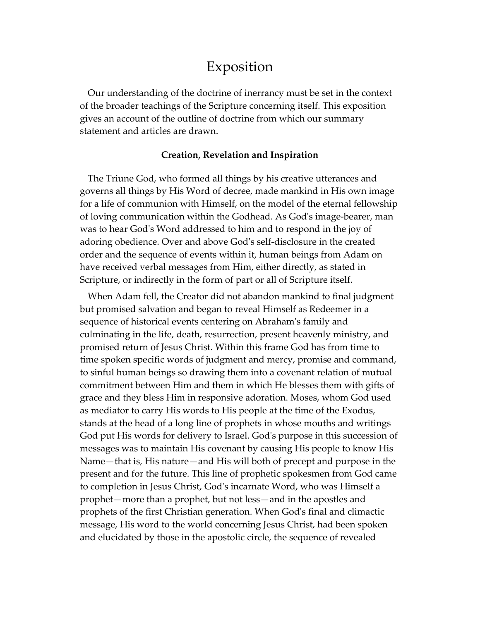# Exposition

Our understanding of the doctrine of inerrancy must be set in the context of the broader teachings of the Scripture concerning itself. This exposition gives an account of the outline of doctrine from which our summary statement and articles are drawn.

#### **Creation, Revelation and Inspiration**

The Triune God, who formed all things by his creative utterances and governs all things by His Word of decree, made mankind in His own image for a life of communion with Himself, on the model of the eternal fellowship of loving communication within the Godhead. As Godʹs image‐bearer, man was to hear God's Word addressed to him and to respond in the joy of adoring obedience. Over and above Godʹs self‐disclosure in the created order and the sequence of events within it, human beings from Adam on have received verbal messages from Him, either directly, as stated in Scripture, or indirectly in the form of part or all of Scripture itself.

When Adam fell, the Creator did not abandon mankind to final judgment but promised salvation and began to reveal Himself as Redeemer in a sequence of historical events centering on Abrahamʹs family and culminating in the life, death, resurrection, present heavenly ministry, and promised return of Jesus Christ. Within this frame God has from time to time spoken specific words of judgment and mercy, promise and command, to sinful human beings so drawing them into a covenant relation of mutual commitment between Him and them in which He blesses them with gifts of grace and they bless Him in responsive adoration. Moses, whom God used as mediator to carry His words to His people at the time of the Exodus, stands at the head of a long line of prophets in whose mouths and writings God put His words for delivery to Israel. Godʹs purpose in this succession of messages was to maintain His covenant by causing His people to know His Name—that is, His nature—and His will both of precept and purpose in the present and for the future. This line of prophetic spokesmen from God came to completion in Jesus Christ, Godʹs incarnate Word, who was Himself a prophet—more than a prophet, but not less—and in the apostles and prophets of the first Christian generation. When Godʹs final and climactic message, His word to the world concerning Jesus Christ, had been spoken and elucidated by those in the apostolic circle, the sequence of revealed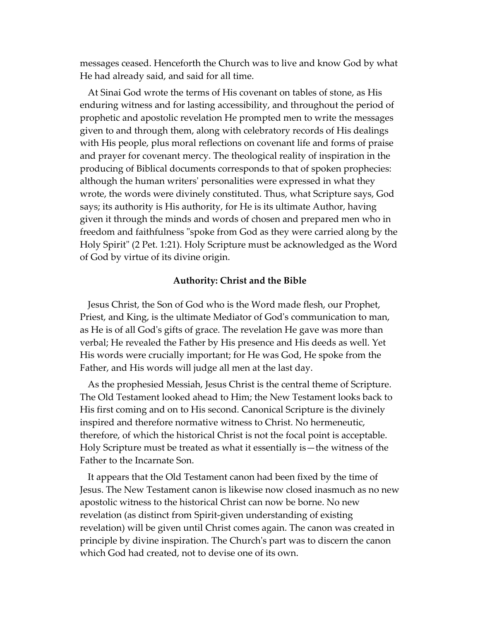messages ceased. Henceforth the Church was to live and know God by what He had already said, and said for all time.

At Sinai God wrote the terms of His covenant on tables of stone, as His enduring witness and for lasting accessibility, and throughout the period of prophetic and apostolic revelation He prompted men to write the messages given to and through them, along with celebratory records of His dealings with His people, plus moral reflections on covenant life and forms of praise and prayer for covenant mercy. The theological reality of inspiration in the producing of Biblical documents corresponds to that of spoken prophecies: although the human writersʹ personalities were expressed in what they wrote, the words were divinely constituted. Thus, what Scripture says, God says; its authority is His authority, for He is its ultimate Author, having given it through the minds and words of chosen and prepared men who in freedom and faithfulness "spoke from God as they were carried along by the Holy Spirit" (2 Pet. 1:21). Holy Scripture must be acknowledged as the Word of God by virtue of its divine origin.

#### **Authority: Christ and the Bible**

Jesus Christ, the Son of God who is the Word made flesh, our Prophet, Priest, and King, is the ultimate Mediator of Godʹs communication to man, as He is of all Godʹs gifts of grace. The revelation He gave was more than verbal; He revealed the Father by His presence and His deeds as well. Yet His words were crucially important; for He was God, He spoke from the Father, and His words will judge all men at the last day.

As the prophesied Messiah, Jesus Christ is the central theme of Scripture. The Old Testament looked ahead to Him; the New Testament looks back to His first coming and on to His second. Canonical Scripture is the divinely inspired and therefore normative witness to Christ. No hermeneutic, therefore, of which the historical Christ is not the focal point is acceptable. Holy Scripture must be treated as what it essentially is—the witness of the Father to the Incarnate Son.

It appears that the Old Testament canon had been fixed by the time of Jesus. The New Testament canon is likewise now closed inasmuch as no new apostolic witness to the historical Christ can now be borne. No new revelation (as distinct from Spirit‐given understanding of existing revelation) will be given until Christ comes again. The canon was created in principle by divine inspiration. The Churchʹs part was to discern the canon which God had created, not to devise one of its own.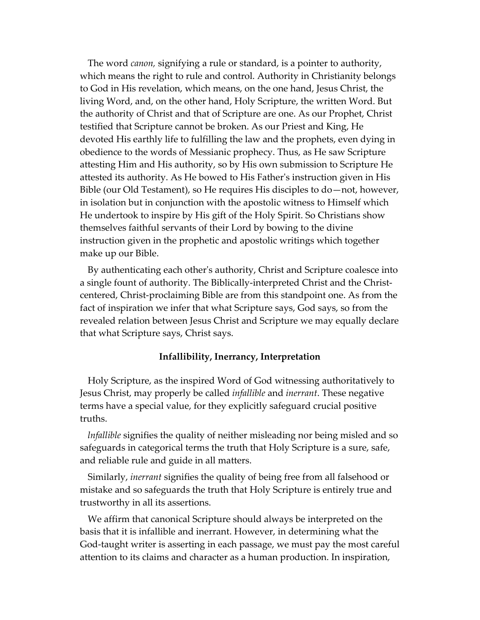The word *canon,* signifying a rule or standard, is a pointer to authority, which means the right to rule and control. Authority in Christianity belongs to God in His revelation, which means, on the one hand, Jesus Christ, the living Word, and, on the other hand, Holy Scripture, the written Word. But the authority of Christ and that of Scripture are one. As our Prophet, Christ testified that Scripture cannot be broken. As our Priest and King, He devoted His earthly life to fulfilling the law and the prophets, even dying in obedience to the words of Messianic prophecy. Thus, as He saw Scripture attesting Him and His authority, so by His own submission to Scripture He attested its authority. As He bowed to His Fatherʹs instruction given in His Bible (our Old Testament), so He requires His disciples to do—not, however, in isolation but in conjunction with the apostolic witness to Himself which He undertook to inspire by His gift of the Holy Spirit. So Christians show themselves faithful servants of their Lord by bowing to the divine instruction given in the prophetic and apostolic writings which together make up our Bible.

By authenticating each otherʹs authority, Christ and Scripture coalesce into a single fount of authority. The Biblically‐interpreted Christ and the Christ‐ centered, Christ‐proclaiming Bible are from this standpoint one. As from the fact of inspiration we infer that what Scripture says, God says, so from the revealed relation between Jesus Christ and Scripture we may equally declare that what Scripture says, Christ says.

# **Infallibility, Inerrancy, Interpretation**

Holy Scripture, as the inspired Word of God witnessing authoritatively to Jesus Christ, may properly be called *infallible* and *inerrant*. These negative terms have a special value, for they explicitly safeguard crucial positive truths.

*lnfallible* signifies the quality of neither misleading nor being misled and so safeguards in categorical terms the truth that Holy Scripture is a sure, safe, and reliable rule and guide in all matters.

Similarly, *inerrant* signifies the quality of being free from all falsehood or mistake and so safeguards the truth that Holy Scripture is entirely true and trustworthy in all its assertions.

We affirm that canonical Scripture should always be interpreted on the basis that it is infallible and inerrant. However, in determining what the God‐taught writer is asserting in each passage, we must pay the most careful attention to its claims and character as a human production. In inspiration,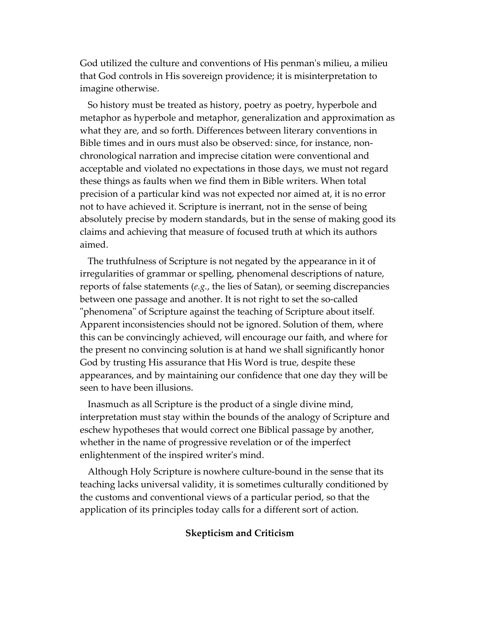God utilized the culture and conventions of His penmanʹs milieu, a milieu that God controls in His sovereign providence; it is misinterpretation to imagine otherwise.

So history must be treated as history, poetry as poetry, hyperbole and metaphor as hyperbole and metaphor, generalization and approximation as what they are, and so forth. Differences between literary conventions in Bible times and in ours must also be observed: since, for instance, non‐ chronological narration and imprecise citation were conventional and acceptable and violated no expectations in those days, we must not regard these things as faults when we find them in Bible writers. When total precision of a particular kind was not expected nor aimed at, it is no error not to have achieved it. Scripture is inerrant, not in the sense of being absolutely precise by modern standards, but in the sense of making good its claims and achieving that measure of focused truth at which its authors aimed.

The truthfulness of Scripture is not negated by the appearance in it of irregularities of grammar or spelling, phenomenal descriptions of nature, reports of false statements (*e.g.*, the lies of Satan), or seeming discrepancies between one passage and another. It is not right to set the so‐called ʺphenomenaʺ of Scripture against the teaching of Scripture about itself. Apparent inconsistencies should not be ignored. Solution of them, where this can be convincingly achieved, will encourage our faith, and where for the present no convincing solution is at hand we shall significantly honor God by trusting His assurance that His Word is true, despite these appearances, and by maintaining our confidence that one day they will be seen to have been illusions.

Inasmuch as all Scripture is the product of a single divine mind, interpretation must stay within the bounds of the analogy of Scripture and eschew hypotheses that would correct one Biblical passage by another, whether in the name of progressive revelation or of the imperfect enlightenment of the inspired writerʹs mind.

Although Holy Scripture is nowhere culture‐bound in the sense that its teaching lacks universal validity, it is sometimes culturally conditioned by the customs and conventional views of a particular period, so that the application of its principles today calls for a different sort of action.

#### **Skepticism and Criticism**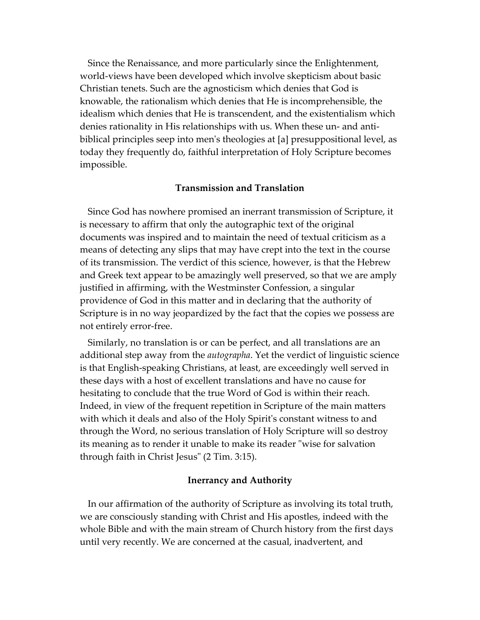Since the Renaissance, and more particularly since the Enlightenment, world‐views have been developed which involve skepticism about basic Christian tenets. Such are the agnosticism which denies that God is knowable, the rationalism which denies that He is incomprehensible, the idealism which denies that He is transcendent, and the existentialism which denies rationality in His relationships with us. When these un‐ and anti‐ biblical principles seep into menʹs theologies at [a] presuppositional level, as today they frequently do, faithful interpretation of Holy Scripture becomes impossible.

#### **Transmission and Translation**

Since God has nowhere promised an inerrant transmission of Scripture, it is necessary to affirm that only the autographic text of the original documents was inspired and to maintain the need of textual criticism as a means of detecting any slips that may have crept into the text in the course of its transmission. The verdict of this science, however, is that the Hebrew and Greek text appear to be amazingly well preserved, so that we are amply justified in affirming, with the Westminster Confession, a singular providence of God in this matter and in declaring that the authority of Scripture is in no way jeopardized by the fact that the copies we possess are not entirely error‐free.

Similarly, no translation is or can be perfect, and all translations are an additional step away from the *autographa*. Yet the verdict of linguistic science is that English‐speaking Christians, at least, are exceedingly well served in these days with a host of excellent translations and have no cause for hesitating to conclude that the true Word of God is within their reach. Indeed, in view of the frequent repetition in Scripture of the main matters with which it deals and also of the Holy Spirit's constant witness to and through the Word, no serious translation of Holy Scripture will so destroy its meaning as to render it unable to make its reader "wise for salvation through faith in Christ Jesusʺ (2 Tim. 3:15).

#### **Inerrancy and Authority**

In our affirmation of the authority of Scripture as involving its total truth, we are consciously standing with Christ and His apostles, indeed with the whole Bible and with the main stream of Church history from the first days until very recently. We are concerned at the casual, inadvertent, and